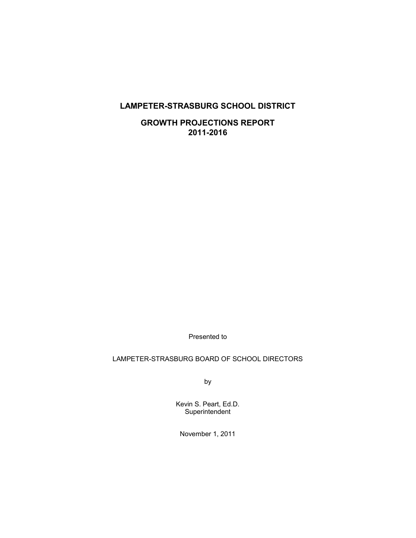# **LAMPETER-STRASBURG SCHOOL DISTRICT**

**GROWTH PROJECTIONS REPORT 2011-2016** 

Presented to

# LAMPETER-STRASBURG BOARD OF SCHOOL DIRECTORS

by

Kevin S. Peart, Ed.D. **Superintendent** 

November 1, 2011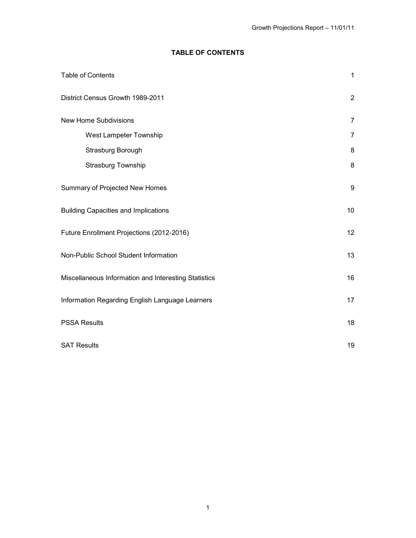# **TABLE OF CONTENTS**

| Table of Contents                                    | $\mathbf{1}$   |
|------------------------------------------------------|----------------|
| District Census Growth 1989-2011                     | $\sqrt{2}$     |
| <b>New Home Subdivisions</b>                         | $\overline{7}$ |
| West Lampeter Township                               | $\overline{7}$ |
| Strasburg Borough                                    | 8              |
| Strasburg Township                                   | 8              |
| Summary of Projected New Homes                       | 9              |
| <b>Building Capacities and Implications</b>          | 10             |
| Future Enrollment Projections (2012-2016)            | 12             |
| Non-Public School Student Information                | 13             |
| Miscellaneous Information and Interesting Statistics | 16             |
| Information Regarding English Language Learners      | 17             |
| <b>PSSA Results</b>                                  | 18             |
| <b>SAT Results</b>                                   | 19             |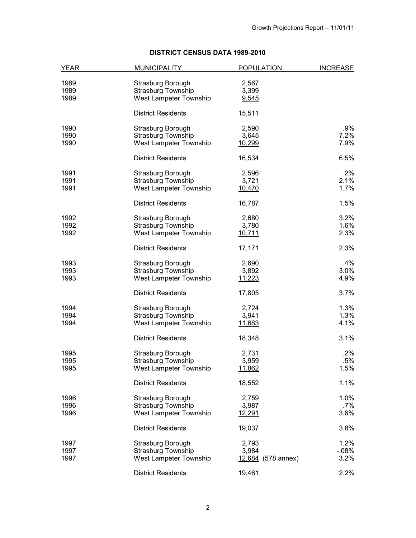# **DISTRICT CENSUS DATA 1989-2010**

| YEAR | <b>MUNICIPALITY</b>       | <b>POPULATION</b>  | <b>INCREASE</b> |
|------|---------------------------|--------------------|-----------------|
| 1989 | Strasburg Borough         | 2,567              |                 |
| 1989 | <b>Strasburg Township</b> | 3,399              |                 |
| 1989 | West Lampeter Township    | 9,545              |                 |
|      | <b>District Residents</b> | 15,511             |                 |
| 1990 | Strasburg Borough         | 2,590              | $.9\%$          |
| 1990 | Strasburg Township        | 3,645              | 7.2%            |
| 1990 | West Lampeter Township    | 10,299             | 7.9%            |
|      | <b>District Residents</b> | 16,534             | 6.5%            |
| 1991 | Strasburg Borough         | 2,596              | $.2\%$          |
| 1991 | Strasburg Township        | 3,721              | 2.1%            |
| 1991 | West Lampeter Township    | 10,470             | 1.7%            |
|      | <b>District Residents</b> | 16,787             | 1.5%            |
| 1992 | Strasburg Borough         | 2,680              | 3.2%            |
| 1992 | Strasburg Township        | 3,780              | 1.6%            |
| 1992 | West Lampeter Township    | 10,711             | 2.3%            |
|      | <b>District Residents</b> | 17,171             | 2.3%            |
| 1993 | Strasburg Borough         | 2,690              | $.4\%$          |
| 1993 | Strasburg Township        | 3,892              | 3.0%            |
| 1993 | West Lampeter Township    | 11,223             | 4.9%            |
|      | <b>District Residents</b> | 17,805             | 3.7%            |
| 1994 | Strasburg Borough         | 2,724              | 1.3%            |
| 1994 | Strasburg Township        | 3,941              | 1.3%            |
| 1994 | West Lampeter Township    | 11,683             | 4.1%            |
|      | <b>District Residents</b> | 18,348             | 3.1%            |
| 1995 | Strasburg Borough         | 2,731              | $.2\%$          |
| 1995 | Strasburg Township        | 3,959              | .5%             |
| 1995 | West Lampeter Township    | 11,862             | 1.5%            |
|      | <b>District Residents</b> | 18,552             | 1.1%            |
| 1996 | Strasburg Borough         | 2,759              | $1.0\%$         |
| 1996 | Strasburg Township        | 3,987              | .7%             |
| 1996 | West Lampeter Township    | 12,291             | 3.6%            |
|      | <b>District Residents</b> | 19,037             | 3.8%            |
| 1997 | Strasburg Borough         | 2,793              | 1.2%            |
| 1997 | Strasburg Township        | 3,984              | $-08\%$         |
| 1997 | West Lampeter Township    | 12,684 (578 annex) | 3.2%            |
|      | <b>District Residents</b> | 19,461             | 2.2%            |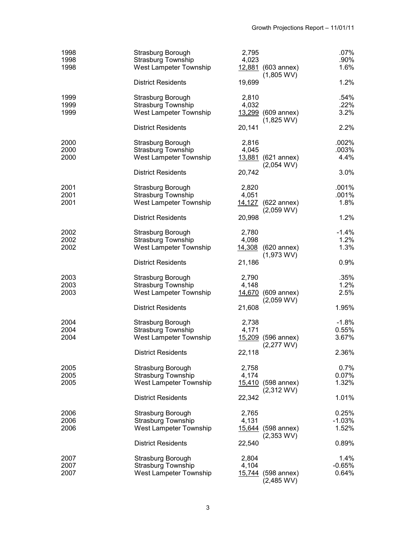| 1998<br>1998<br>1998 | Strasburg Borough<br>Strasburg Township<br>West Lampeter Township                                            | 2,795<br>4,023           | 12,881 (603 annex)<br>$(1,805$ WV)         | .07%<br>.90%<br>1.6%               |
|----------------------|--------------------------------------------------------------------------------------------------------------|--------------------------|--------------------------------------------|------------------------------------|
|                      | <b>District Residents</b>                                                                                    | 19,699                   |                                            | 1.2%                               |
| 1999<br>1999<br>1999 | Strasburg Borough<br>Strasburg Township<br>West Lampeter Township                                            | 2,810<br>4,032           | $13,299$ (609 annex)<br>$(1,825$ WV)       | .54%<br>.22%<br>3.2%               |
|                      | <b>District Residents</b>                                                                                    | 20,141                   |                                            | 2.2%                               |
| 2000<br>2000<br>2000 | Strasburg Borough<br>Strasburg Township<br>West Lampeter Township                                            | 2,816<br>4,045           | 13,881 (621 annex)<br>$(2,054$ WV)         | .002%<br>.003%<br>4.4%             |
|                      | <b>District Residents</b>                                                                                    | 20,742                   |                                            | 3.0%                               |
| 2001<br>2001<br>2001 | Strasburg Borough<br>Strasburg Township<br>West Lampeter Township                                            | 2,820<br>4,051           | 14,127 (622 annex)<br>$(2,059$ WV)         | .001%<br>.001%<br>1.8%             |
|                      | <b>District Residents</b>                                                                                    | 20,998                   |                                            | 1.2%                               |
| 2002<br>2002<br>2002 | Strasburg Borough<br>Strasburg Township<br>West Lampeter Township                                            | 2,780<br>4,098           | 14,308 (620 annex)<br>$(1,973$ WV)         | $-1.4%$<br>1.2%<br>1.3%            |
|                      | <b>District Residents</b>                                                                                    | 21,186                   |                                            | 0.9%                               |
| 2003<br>2003<br>2003 | Strasburg Borough<br>Strasburg Township<br>West Lampeter Township<br><b>District Residents</b>               | 2,790<br>4,148<br>21,608 | 14,670 (609 annex)<br>$(2,059 \text{ WV})$ | .35%<br>1.2%<br>2.5%<br>1.95%      |
| 2004<br>2004<br>2004 | Strasburg Borough<br>Strasburg Township<br>West Lampeter Township<br><b>District Residents</b>               | 2,738<br>4,171<br>22,118 | 15,209 (596 annex)<br>$(2,277$ WV)         | $-1.8%$<br>0.55%<br>3.67%<br>2.36% |
| 2005<br>2005<br>2005 | Strasburg Borough<br><b>Strasburg Township</b><br><b>West Lampeter Township</b><br><b>District Residents</b> | 2,758<br>4,174<br>22,342 | 15,410 (598 annex)<br>$(2,312$ WV)         | 0.7%<br>0.07%<br>1.32%<br>1.01%    |
|                      |                                                                                                              |                          |                                            |                                    |
| 2006<br>2006<br>2006 | Strasburg Borough<br><b>Strasburg Township</b><br>West Lampeter Township                                     | 2,765<br>4,131           | 15,644 (598 annex)<br>$(2,353$ WV)         | 0.25%<br>$-1.03%$<br>1.52%         |
|                      | <b>District Residents</b>                                                                                    | 22,540                   |                                            | 0.89%                              |
| 2007<br>2007<br>2007 | Strasburg Borough<br><b>Strasburg Township</b><br>West Lampeter Township                                     | 2,804<br>4,104           | 15,744 (598 annex)<br>$(2,485$ WV)         | 1.4%<br>$-0.65%$<br>0.64%          |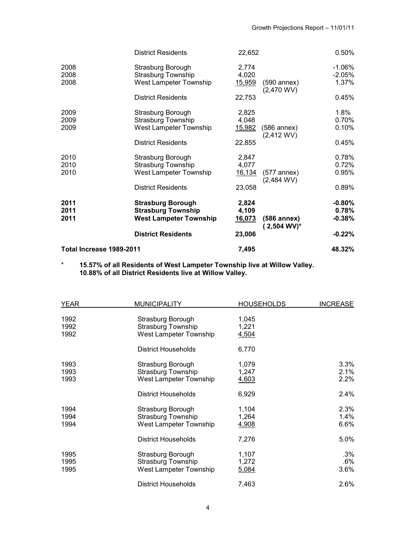|                          | <b>District Residents</b>                                                              | 22,652                          |                               | 0.50%                          |
|--------------------------|----------------------------------------------------------------------------------------|---------------------------------|-------------------------------|--------------------------------|
| 2008<br>2008<br>2008     | Strasburg Borough<br><b>Strasburg Township</b><br>West Lampeter Township               | 2,774<br>4,020<br><u>15,959</u> | $(590$ annex)                 | $-1.06%$<br>$-2.05%$<br>1.37%  |
|                          | <b>District Residents</b>                                                              | 22,753                          | $(2,470$ WV)                  | 0.45%                          |
| 2009<br>2009<br>2009     | Strasburg Borough<br><b>Strasburg Township</b><br>West Lampeter Township               | 2,825<br>4,048<br><u>15,982</u> | $(586$ annex)                 | $1.8\%$<br>0.70%<br>0.10%      |
|                          | <b>District Residents</b>                                                              | 22,855                          | $(2,412$ WV)                  | 0.45%                          |
| 2010<br>2010<br>2010     | Strasburg Borough<br><b>Strasburg Township</b><br>West Lampeter Township               | 2,847<br>4,077<br>16,134        | $(577$ annex)<br>$(2,484$ WV) | 0.78%<br>0.72%<br>$0.95\%$     |
|                          | <b>District Residents</b>                                                              | 23,058                          |                               | 0.89%                          |
| 2011<br>2011<br>2011     | <b>Strasburg Borough</b><br><b>Strasburg Township</b><br><b>West Lampeter Township</b> | 2,824<br>4,109<br>16,073        | (586 annex)<br>$(2,504 WV)^*$ | $-0.80%$<br>0.78%<br>$-0.38\%$ |
|                          | <b>District Residents</b>                                                              | 23,006                          |                               | $-0.22%$                       |
| Total Increase 1989-2011 |                                                                                        | 7,495                           |                               | 48.32%                         |

\* **15.57% of all Residents of West Lampeter Township live at Willow Valley. 10.88% of all District Residents live at Willow Valley.** 

| <b>YEAR</b>          | <b>MUNICIPALITY</b>                                               | <b>HOUSEHOLDS</b>       | <b>INCREASE</b>         |
|----------------------|-------------------------------------------------------------------|-------------------------|-------------------------|
| 1992<br>1992<br>1992 | Strasburg Borough<br>Strasburg Township<br>West Lampeter Township | 1,045<br>1,221<br>4,504 |                         |
|                      | District Households                                               | 6,770                   |                         |
| 1993<br>1993<br>1993 | Strasburg Borough<br>Strasburg Township<br>West Lampeter Township | 1,079<br>1,247<br>4,603 | 3.3%<br>2.1%<br>2.2%    |
|                      | District Households                                               | 6,929                   | $2.4\%$                 |
| 1994<br>1994<br>1994 | Strasburg Borough<br>Strasburg Township<br>West Lampeter Township | 1,104<br>1,264<br>4,908 | 2.3%<br>1.4%<br>$6.6\%$ |
|                      | District Households                                               | 7,276                   | 5.0%                    |
| 1995<br>1995<br>1995 | Strasburg Borough<br>Strasburg Township<br>West Lampeter Township | 1,107<br>1,272<br>5,084 | .3%<br>.6%<br>$3.6\%$   |
|                      | <b>District Households</b>                                        | 7,463                   | 2.6%                    |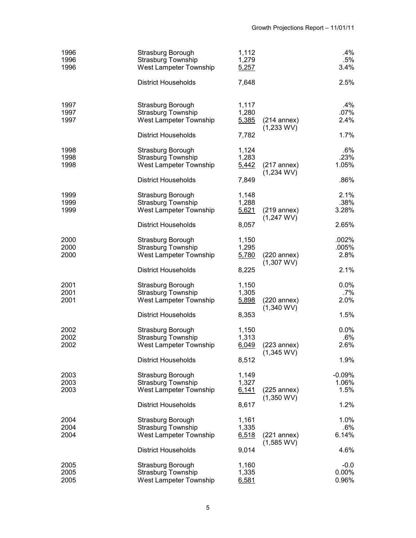| 1996<br>1996<br>1996 | Strasburg Borough<br><b>Strasburg Township</b><br>West Lampeter Township | 1,112<br>1,279<br>5,257 |                               | .4%<br>$.5\%$<br>3.4%       |
|----------------------|--------------------------------------------------------------------------|-------------------------|-------------------------------|-----------------------------|
|                      | <b>District Households</b>                                               | 7,648                   |                               | 2.5%                        |
| 1997<br>1997<br>1997 | Strasburg Borough<br>Strasburg Township<br>West Lampeter Township        | 1,117<br>1,280<br>5,385 | $(214$ annex)<br>$(1,233$ WV) | .4%<br>.07%<br>2.4%         |
|                      | <b>District Households</b>                                               | 7,782                   |                               | 1.7%                        |
| 1998<br>1998<br>1998 | Strasburg Borough<br>Strasburg Township<br>West Lampeter Township        | 1,124<br>1,283<br>5,442 | $(217$ annex)<br>$(1,234$ WV) | $.6\%$<br>.23%<br>1.05%     |
|                      | <b>District Households</b>                                               | 7,849                   |                               | .86%                        |
| 1999<br>1999<br>1999 | Strasburg Borough<br><b>Strasburg Township</b><br>West Lampeter Township | 1,148<br>1,288<br>5,621 | $(219$ annex)<br>$(1,247$ WV) | 2.1%<br>.38%<br>3.28%       |
|                      | <b>District Households</b>                                               | 8,057                   |                               | 2.65%                       |
| 2000<br>2000<br>2000 | Strasburg Borough<br>Strasburg Township<br>West Lampeter Township        | 1,150<br>1,295<br>5,780 | $(220$ annex)<br>$(1,307$ WV) | .002%<br>.005%<br>2.8%      |
|                      | <b>District Households</b>                                               | 8,225                   |                               | 2.1%                        |
| 2001<br>2001<br>2001 | Strasburg Borough<br>Strasburg Township<br>West Lampeter Township        | 1,150<br>1,305<br>5,898 | $(220$ annex)<br>$(1,340$ WV) | $0.0\%$<br>.7%<br>2.0%      |
|                      | <b>District Households</b>                                               | 8,353                   |                               | 1.5%                        |
| 2002<br>2002<br>2002 | Strasburg Borough<br>Strasburg Township<br>West Lampeter Township        | 1,150<br>1,313<br>6,049 | $(223$ annex)<br>$(1,345$ WV) | $0.0\%$<br>.6%<br>2.6%      |
|                      | <b>District Households</b>                                               | 8,512                   |                               | 1.9%                        |
| 2003<br>2003<br>2003 | Strasburg Borough<br>Strasburg Township<br><b>West Lampeter Township</b> | 1,149<br>1,327<br>6,141 | $(225$ annex)                 | $-0.09%$<br>1.06%<br>1.5%   |
|                      | <b>District Households</b>                                               | 8,617                   | $(1,350$ WV)                  | 1.2%                        |
| 2004<br>2004<br>2004 | Strasburg Borough<br>Strasburg Township<br>West Lampeter Township        | 1,161<br>1,335<br>6,518 | $(221$ annex)<br>$(1,585$ WV) | 1.0%<br>$.6\%$<br>6.14%     |
|                      | <b>District Households</b>                                               | 9,014                   |                               | 4.6%                        |
| 2005<br>2005<br>2005 | Strasburg Borough<br>Strasburg Township<br><b>West Lampeter Township</b> | 1,160<br>1,335<br>6,581 |                               | $-0.0$<br>$0.00\%$<br>0.96% |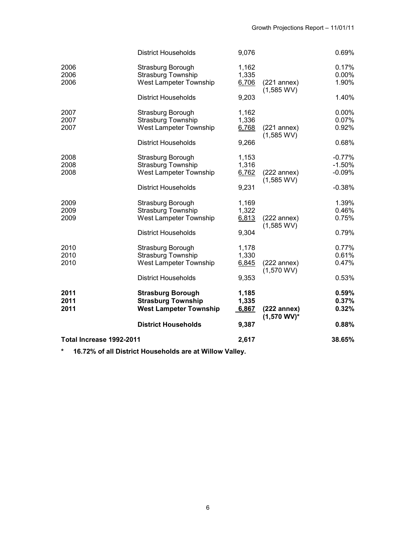| Total Increase 1992-2011 |                                                                                        | 2,617                   |                                 | 38.65%                           |
|--------------------------|----------------------------------------------------------------------------------------|-------------------------|---------------------------------|----------------------------------|
|                          | <b>District Households</b>                                                             | 9,387                   |                                 | 0.88%                            |
| 2011<br>2011<br>2011     | <b>Strasburg Borough</b><br><b>Strasburg Township</b><br><b>West Lampeter Township</b> | 1,185<br>1,335<br>6,867 | $(222$ annex)<br>$(1,570 WV)^*$ | 0.59%<br>0.37%<br>0.32%          |
|                          | <b>District Households</b>                                                             | 9,353                   | $(1,570$ WV)                    | 0.53%                            |
| 2010<br>2010<br>2010     | Strasburg Borough<br><b>Strasburg Township</b><br>West Lampeter Township               | 1,178<br>1,330<br>6,845 | $(222$ annex)                   | 0.77%<br>0.61%<br>0.47%          |
|                          | <b>District Households</b>                                                             | 9,304                   | $(1,585$ WV)                    | 0.79%                            |
| 2009<br>2009<br>2009     | Strasburg Borough<br><b>Strasburg Township</b><br>West Lampeter Township               | 1,169<br>1,322<br>6,813 | $(222$ annex)                   | 1.39%<br>0.46%<br>0.75%          |
|                          | <b>District Households</b>                                                             | 9,231                   |                                 | $-0.38%$                         |
| 2008<br>2008<br>2008     | Strasburg Borough<br><b>Strasburg Township</b><br>West Lampeter Township               | 1,153<br>1,316<br>6,762 | $(222$ annex)<br>$(1,585$ WV)   | $-0.77%$<br>$-1.50%$<br>$-0.09%$ |
|                          | <b>District Households</b>                                                             | 9,266                   |                                 | 0.68%                            |
| 2007<br>2007<br>2007     | Strasburg Borough<br><b>Strasburg Township</b><br>West Lampeter Township               | 1,162<br>1,336<br>6,768 | $(221$ annex)<br>$(1,585$ WV)   | $0.00\%$<br>0.07%<br>0.92%       |
|                          | <b>District Households</b>                                                             | 9,203                   | $(1,585$ WV)                    | 1.40%                            |
| 2006<br>2006<br>2006     | Strasburg Borough<br><b>Strasburg Township</b><br>West Lampeter Township               | 1,162<br>1,335<br>6,706 | $(221$ annex)                   | 0.17%<br>$0.00\%$<br>1.90%       |
|                          | <b>District Households</b>                                                             | 9,076                   |                                 | 0.69%                            |

**\* 16.72% of all District Households are at Willow Valley.**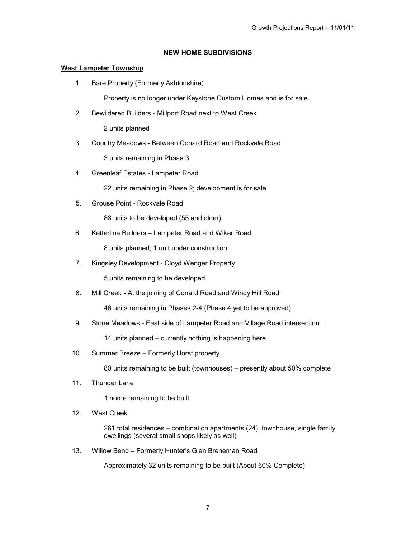### **NEW HOME SUBDIVISIONS**

### **West Lampeter Township**

1. Bare Property (Formerly Ashtonshire)

Property is no longer under Keystone Custom Homes and is for sale

2. Bewildered Builders - Millport Road next to West Creek

2 units planned

3. Country Meadows - Between Conard Road and Rockvale Road

3 units remaining in Phase 3

4. Greenleaf Estates - Lampeter Road

22 units remaining in Phase 2; development is for sale

5. Grouse Point - Rockvale Road

88 units to be developed (55 and older)

6. Ketterline Builders – Lampeter Road and Wiker Road

8 units planned; 1 unit under construction

7. Kingsley Development - Cloyd Wenger Property

5 units remaining to be developed

8. Mill Creek - At the joining of Conard Road and Windy Hill Road

46 units remaining in Phases 2-4 (Phase 4 yet to be approved)

9. Stone Meadows - East side of Lampeter Road and Village Road intersection

14 units planned – currently nothing is happening here

10. Summer Breeze – Formerly Horst property

80 units remaining to be built (townhouses) – presently about 50% complete

11. Thunder Lane

1 home remaining to be built

12. West Creek

261 total residences – combination apartments (24), townhouse, single family dwellings (several small shops likely as well)

13. Willow Bend – Formerly Hunter's Glen Breneman Road

Approximately 32 units remaining to be built (About 60% Complete)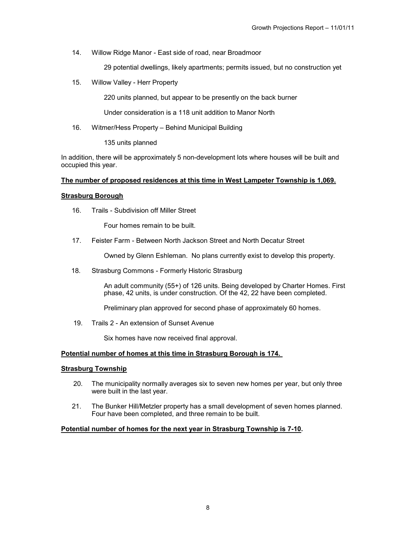14. Willow Ridge Manor - East side of road, near Broadmoor

29 potential dwellings, likely apartments; permits issued, but no construction yet

15. Willow Valley - Herr Property

220 units planned, but appear to be presently on the back burner

Under consideration is a 118 unit addition to Manor North

16. Witmer/Hess Property – Behind Municipal Building

135 units planned

In addition, there will be approximately 5 non-development lots where houses will be built and occupied this year.

### **The number of proposed residences at this time in West Lampeter Township is 1,069.**

#### **Strasburg Borough**

16. Trails - Subdivision off Miller Street

Four homes remain to be built.

17. Feister Farm - Between North Jackson Street and North Decatur Street

Owned by Glenn Eshleman. No plans currently exist to develop this property.

18. Strasburg Commons - Formerly Historic Strasburg

An adult community (55+) of 126 units. Being developed by Charter Homes. First phase, 42 units, is under construction. Of the 42, 22 have been completed.

Preliminary plan approved for second phase of approximately 60 homes.

19. Trails 2 - An extension of Sunset Avenue

Six homes have now received final approval.

### **Potential number of homes at this time in Strasburg Borough is 174.**

### **Strasburg Township**

- 20. The municipality normally averages six to seven new homes per year, but only three were built in the last year.
- 21. The Bunker Hill/Metzler property has a small development of seven homes planned. Four have been completed, and three remain to be built.

#### **Potential number of homes for the next year in Strasburg Township is 7-10.**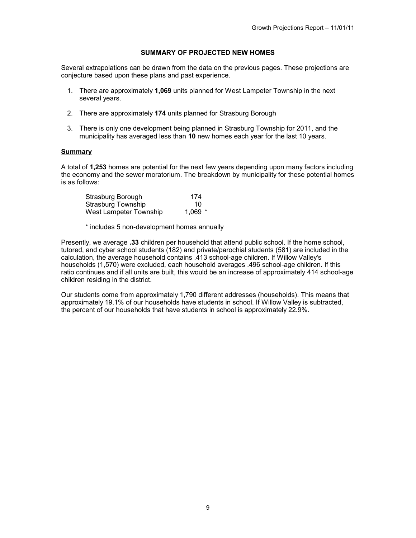### **SUMMARY OF PROJECTED NEW HOMES**

Several extrapolations can be drawn from the data on the previous pages. These projections are conjecture based upon these plans and past experience.

- 1. There are approximately **1,069** units planned for West Lampeter Township in the next several years.
- 2. There are approximately **174** units planned for Strasburg Borough
- 3. There is only one development being planned in Strasburg Township for 2011, and the municipality has averaged less than **10** new homes each year for the last 10 years.

#### **Summary**

A total of **1,253** homes are potential for the next few years depending upon many factors including the economy and the sewer moratorium. The breakdown by municipality for these potential homes is as follows:

| Strasburg Borough      | 174       |
|------------------------|-----------|
| Strasburg Township     | 10        |
| West Lampeter Township | $1.069$ * |

\* includes 5 non-development homes annually

Presently, we average **.33** children per household that attend public school. If the home school, tutored, and cyber school students (182) and private/parochial students (581) are included in the calculation, the average household contains .413 school-age children. If Willow Valley's households (1,570) were excluded, each household averages .496 school-age children. If this ratio continues and if all units are built, this would be an increase of approximately 414 school-age children residing in the district.

Our students come from approximately 1,790 different addresses (households). This means that approximately 19.1% of our households have students in school. If Willow Valley is subtracted, the percent of our households that have students in school is approximately 22.9%.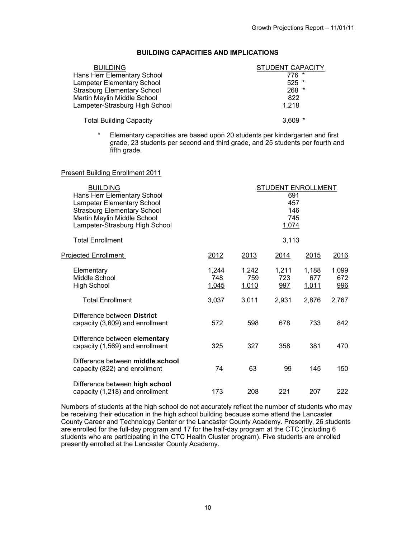# **BUILDING CAPACITIES AND IMPLICATIONS**

| <b>BUILDING</b>                    | <b>STUDENT CAPACITY</b> |
|------------------------------------|-------------------------|
| Hans Herr Elementary School        | $776*$                  |
| <b>Lampeter Elementary School</b>  | $525$ *                 |
| <b>Strasburg Elementary School</b> | $268$ *                 |
| Martin Meylin Middle School        | 822                     |
| Lampeter-Strasburg High School     | 1,218                   |
| <b>Total Building Capacity</b>     | $3.609*$                |

\* Elementary capacities are based upon 20 students per kindergarten and first grade, 23 students per second and third grade, and 25 students per fourth and fifth grade.

#### Present Building Enrollment 2011

| <b>BUILDING</b><br>Hans Herr Elementary School<br>Lampeter Elementary School<br><b>Strasburg Elementary School</b><br>Martin Meylin Middle School<br>Lampeter-Strasburg High School | <b>STUDENT ENROLLMENT</b><br>691<br>457<br>146<br>745<br>1,074 |                       |                     |                       |                     |
|-------------------------------------------------------------------------------------------------------------------------------------------------------------------------------------|----------------------------------------------------------------|-----------------------|---------------------|-----------------------|---------------------|
| <b>Total Enrollment</b>                                                                                                                                                             |                                                                |                       | 3,113               |                       |                     |
| <b>Projected Enrollment</b>                                                                                                                                                         | 2012                                                           | 2013                  | 2014                | 2015                  | 2016                |
| Elementary<br>Middle School<br><b>High School</b>                                                                                                                                   | 1,244<br>748<br>1,045                                          | 1,242<br>759<br>1,010 | 1,211<br>723<br>997 | 1,188<br>677<br>1,011 | 1,099<br>672<br>996 |
| <b>Total Enrollment</b>                                                                                                                                                             | 3,037                                                          | 3,011                 | 2.931               | 2,876                 | 2,767               |
| Difference between District<br>capacity (3,609) and enrollment                                                                                                                      | 572                                                            | 598                   | 678                 | 733                   | 842                 |
| Difference between elementary<br>capacity (1,569) and enrollment                                                                                                                    | 325                                                            | 327                   | 358                 | 381                   | 470                 |
| Difference between middle school<br>capacity (822) and enrollment                                                                                                                   | 74                                                             | 63                    | 99                  | 145                   | 150                 |
| Difference between high school<br>capacity (1,218) and enrollment                                                                                                                   | 173                                                            | 208                   | 221                 | 207                   | 222                 |

Numbers of students at the high school do not accurately reflect the number of students who may be receiving their education in the high school building because some attend the Lancaster County Career and Technology Center or the Lancaster County Academy. Presently, 26 students are enrolled for the full-day program and 17 for the half-day program at the CTC (including 6 students who are participating in the CTC Health Cluster program). Five students are enrolled presently enrolled at the Lancaster County Academy.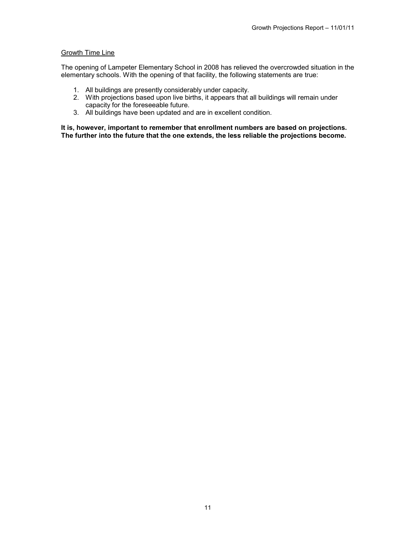#### Growth Time Line

The opening of Lampeter Elementary School in 2008 has relieved the overcrowded situation in the elementary schools. With the opening of that facility, the following statements are true:

- 1. All buildings are presently considerably under capacity.
- 2. With projections based upon live births, it appears that all buildings will remain under capacity for the foreseeable future.
- 3. All buildings have been updated and are in excellent condition.

**It is, however, important to remember that enrollment numbers are based on projections. The further into the future that the one extends, the less reliable the projections become.**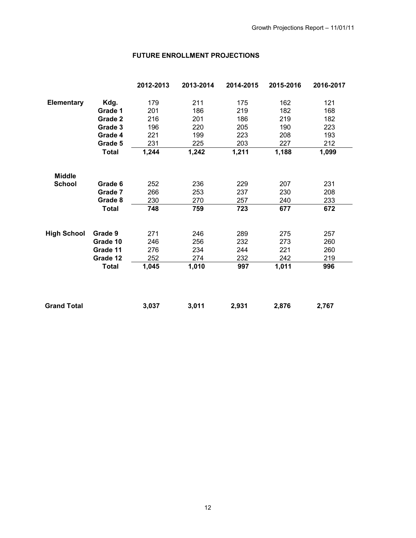# **FUTURE ENROLLMENT PROJECTIONS**

|                    |              | 2012-2013 | 2013-2014 | 2014-2015 | 2015-2016 | 2016-2017 |
|--------------------|--------------|-----------|-----------|-----------|-----------|-----------|
| <b>Elementary</b>  | Kdg.         | 179       | 211       | 175       | 162       | 121       |
|                    | Grade 1      | 201       | 186       | 219       | 182       | 168       |
|                    | Grade 2      | 216       | 201       | 186       | 219       | 182       |
|                    | Grade 3      | 196       | 220       | 205       | 190       | 223       |
|                    | Grade 4      | 221       | 199       | 223       | 208       | 193       |
|                    | Grade 5      | 231       | 225       | 203       | 227       | 212       |
|                    | <b>Total</b> | 1,244     | 1,242     | 1,211     | 1,188     | 1,099     |
| <b>Middle</b>      |              |           |           |           |           |           |
| <b>School</b>      | Grade 6      | 252       | 236       | 229       | 207       | 231       |
|                    | Grade 7      | 266       | 253       | 237       | 230       | 208       |
|                    | Grade 8      | 230       | 270       | 257       | 240       | 233       |
|                    | <b>Total</b> | 748       | 759       | 723       | 677       | 672       |
| <b>High School</b> | Grade 9      | 271       | 246       | 289       | 275       | 257       |
|                    | Grade 10     | 246       | 256       | 232       | 273       | 260       |
|                    | Grade 11     | 276       | 234       | 244       | 221       | 260       |
|                    | Grade 12     | 252       | 274       | 232       | 242       | 219       |
|                    | <b>Total</b> | 1,045     | 1,010     | 997       | 1,011     | 996       |
|                    |              |           |           |           |           |           |
| <b>Grand Total</b> |              | 3,037     | 3,011     | 2,931     | 2,876     | 2,767     |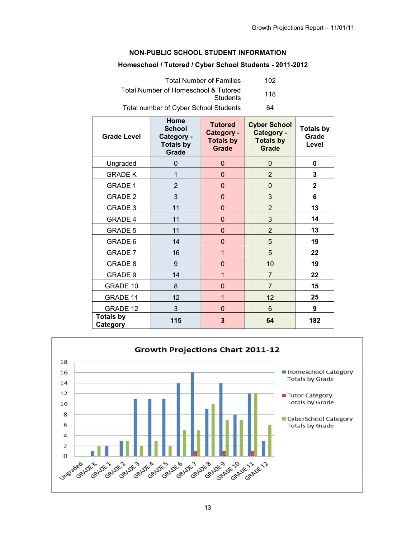## **NON-PUBLIC SCHOOL STUDENT INFORMATION**

### **Homeschool / Tutored / Cyber School Students - 2011-2012**

| <b>Total Number of Families</b>                  | 102 |
|--------------------------------------------------|-----|
| Total Number of Homeschool & Tutored<br>Students | 118 |
| Total number of Cyber School Students            | 64  |

| <b>Grade Level</b>           | Home<br><b>School</b><br>Category -<br><b>Totals by</b><br>Grade | <b>Tutored</b><br>Category -<br><b>Totals by</b><br><b>Grade</b> | <b>Cyber School</b><br>Category -<br><b>Totals by</b><br><b>Grade</b> | <b>Totals by</b><br>Grade<br>Level |
|------------------------------|------------------------------------------------------------------|------------------------------------------------------------------|-----------------------------------------------------------------------|------------------------------------|
| Ungraded                     | $\Omega$                                                         | 0                                                                | 0                                                                     | 0                                  |
| <b>GRADE K</b>               | 1                                                                | 0                                                                | $\overline{2}$                                                        | 3                                  |
| <b>GRADE 1</b>               | $\overline{2}$                                                   | 0                                                                | 0                                                                     | $\overline{2}$                     |
| <b>GRADE 2</b>               | 3                                                                | 0                                                                | 3                                                                     | 6                                  |
| <b>GRADE 3</b>               | 11                                                               | 0                                                                | $\overline{2}$                                                        | 13                                 |
| <b>GRADE 4</b>               | 11                                                               | 0                                                                | 3                                                                     | 14                                 |
| <b>GRADE 5</b>               | 11                                                               | 0                                                                | $\overline{2}$                                                        | 13                                 |
| GRADE 6                      | 14                                                               | $\overline{0}$                                                   | 5                                                                     | 19                                 |
| <b>GRADE 7</b>               | 16                                                               | 1                                                                | 5                                                                     | 22                                 |
| GRADE 8                      | 9                                                                | 0                                                                | 10                                                                    | 19                                 |
| <b>GRADE 9</b>               | 14                                                               | 1                                                                | $\overline{7}$                                                        | 22                                 |
| GRADE 10                     | 8                                                                | 0                                                                | $\overline{7}$                                                        | 15                                 |
| <b>GRADE 11</b>              | 12                                                               | 1                                                                | 12                                                                    | 25                                 |
| <b>GRADE 12</b>              | 3                                                                | 0                                                                | 6                                                                     | 9                                  |
| <b>Totals by</b><br>Category | 115                                                              | 3                                                                | 64                                                                    | 182                                |

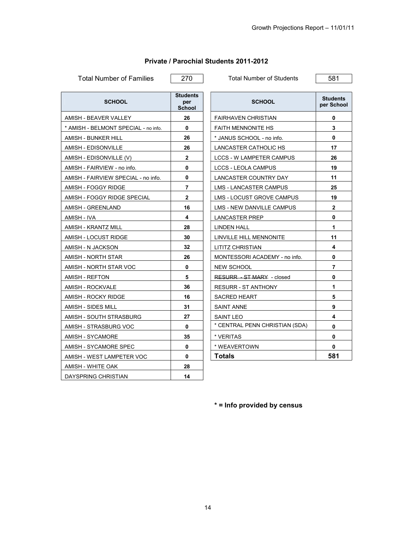| <b>SCHOOL</b>                        | <b>Students</b><br>per<br><b>School</b> | <b>SCHOOL</b>                   | <b>Studen</b><br>per Scho |
|--------------------------------------|-----------------------------------------|---------------------------------|---------------------------|
| AMISH - BEAVER VALLEY                | 26                                      | <b>FAIRHAVEN CHRISTIAN</b>      | 0                         |
| * AMISH - BELMONT SPECIAL - no info. | 0                                       | <b>FAITH MENNONITE HS</b>       | 3                         |
| AMISH - BUNKER HILL                  | 26                                      | * JANUS SCHOOL - no info.       | 0                         |
| AMISH - EDISONVILLE                  | 26                                      | LANCASTER CATHOLIC HS           | 17                        |
| AMISH - EDISONVILLE (V)              | $\mathbf{2}$                            | <b>LCCS - W LAMPETER CAMPUS</b> | 26                        |
| AMISH - FAIRVIEW - no info.          | 0                                       | <b>LCCS - LEOLA CAMPUS</b>      | 19                        |
| AMISH - FAIRVIEW SPECIAL - no info.  | 0                                       | LANCASTER COUNTRY DAY           | 11                        |
| AMISH - FOGGY RIDGE                  | $\overline{7}$                          | <b>LMS - LANCASTER CAMPUS</b>   | 25                        |
| AMISH - FOGGY RIDGE SPECIAL          | $\overline{2}$                          | LMS - LOCUST GROVE CAMPUS       | 19                        |
| AMISH - GREENLAND                    | 16                                      | LMS - NEW DANVILLE CAMPUS       | $\mathbf{2}$              |
| AMISH - IVA                          | 4                                       | LANCASTER PREP                  | 0                         |
| AMISH - KRANTZ MILL                  | 28                                      | LINDEN HALL                     | 1                         |
| AMISH - LOCUST RIDGE                 | 30                                      | LINVILLE HILL MENNONITE         | 11                        |
| AMISH - N JACKSON                    | 32                                      | LITITZ CHRISTIAN                | 4                         |
| AMISH - NORTH STAR                   | 26                                      | MONTESSORI ACADEMY - no info.   | 0                         |
| AMISH - NORTH STAR VOC               | 0                                       | <b>NEW SCHOOL</b>               | 7                         |
| <b>AMISH - REFTON</b>                | 5                                       | RESURR - ST MARY - closed       | 0                         |
| AMISH - ROCKVALE                     | 36                                      | RESURR - ST ANTHONY             | 1                         |
| AMISH - ROCKY RIDGE                  | 16                                      | <b>SACRED HEART</b>             | 5                         |
| AMISH - SIDES MILL                   | 31                                      | SAINT ANNE                      | 9                         |
| AMISH - SOUTH STRASBURG              | 27                                      | <b>SAINT LEO</b>                | 4                         |
| AMISH - STRASBURG VOC                | 0                                       | * CENTRAL PENN CHRISTIAN (SDA)  | 0                         |
| <b>AMISH - SYCAMORE</b>              | 35                                      | * VERITAS                       | 0                         |
| AMISH - SYCAMORE SPEC                | 0                                       | * WEAVERTOWN                    | 0                         |
| AMISH - WEST LAMPETER VOC            | 0                                       | <b>Totals</b>                   | 581                       |
| AMISH - WHITE OAK                    | 28                                      |                                 |                           |
| DAYSPRING CHRISTIAN                  | 14                                      |                                 |                           |

# **Private / Parochial Students 2011-2012**

Total Number of Families 270 Total Number of Students 581

| <b>SCHOOL</b>                    | <b>Students</b><br>per School |
|----------------------------------|-------------------------------|
| <b>FAIRHAVEN CHRISTIAN</b>       | 0                             |
| <b>FAITH MENNONITE HS</b>        | 3                             |
| * JANUS SCHOOL - no info.        | 0                             |
| LANCASTER CATHOLIC HS            | 17                            |
| <b>LCCS - W LAMPETER CAMPUS</b>  | 26                            |
| <b>LCCS - LEOLA CAMPUS</b>       | 19                            |
| LANCASTER COUNTRY DAY            | 11                            |
| <b>LMS - LANCASTER CAMPUS</b>    | 25                            |
| <b>LMS - LOCUST GROVE CAMPUS</b> | 19                            |
| <b>LMS - NEW DANVILLE CAMPUS</b> | $\mathbf{2}$                  |
| <b>LANCASTER PREP</b>            | 0                             |
| <b>LINDEN HALL</b>               | 1                             |
| LINVILLE HILL MENNONITE          | 11                            |
| LITITZ CHRISTIAN                 | 4                             |
| MONTESSORI ACADEMY - no info.    | 0                             |
| <b>NEW SCHOOL</b>                | 7                             |
| RESURR - ST MARY - closed        | 0                             |
| <b>RESURR - ST ANTHONY</b>       | 1                             |
| <b>SACRED HEART</b>              | 5                             |
| <b>SAINT ANNE</b>                | 9                             |
| SAINT LEO                        | 4                             |
| * CENTRAL PENN CHRISTIAN (SDA)   | 0                             |
| * VERITAS                        | 0                             |
| * WEAVERTOWN                     | 0                             |
| Totals                           | 581                           |

**\* = Info provided by census**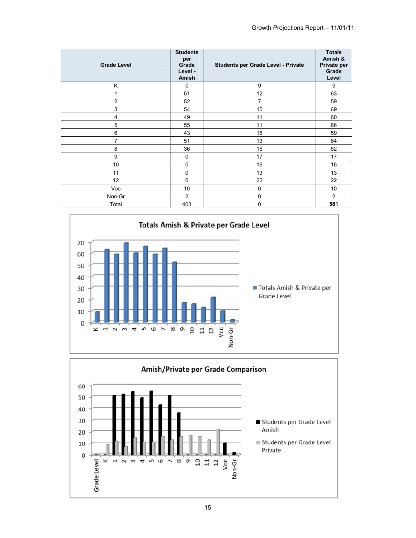| <b>Grade Level</b> | <b>Students</b><br>per<br>Grade<br>Level -<br>Amish | Students per Grade Level - Private | <b>Totals</b><br>Amish &<br>Private per<br>Grade<br>Level |
|--------------------|-----------------------------------------------------|------------------------------------|-----------------------------------------------------------|
| Κ                  | 0                                                   | 9                                  | 9                                                         |
| 1                  | 51                                                  | 12                                 | 63                                                        |
| $\overline{2}$     | 52                                                  | $\overline{7}$                     | 59                                                        |
| 3                  | 54                                                  | 15                                 | 69                                                        |
| 4                  | 49                                                  | 11                                 | 60                                                        |
| 5                  | 55                                                  | 11                                 | 66                                                        |
| 6                  | 43                                                  | 16                                 | 59                                                        |
| 7                  | 51                                                  | 13                                 | 64                                                        |
| 8                  | 36                                                  | 16                                 | 52                                                        |
| 9                  | 0                                                   | 17                                 | 17                                                        |
| 10                 | $\pmb{0}$                                           | 16                                 | 16                                                        |
| 11                 | $\pmb{0}$                                           | 13                                 | 13                                                        |
| 12                 | $\pmb{0}$                                           | 22                                 | 22                                                        |
| Voc                | 10                                                  | $\mathbf 0$                        | 10                                                        |
| Non-Gr             | 2                                                   | 0                                  | 2                                                         |
| Total              | 403                                                 | 0                                  | 581                                                       |



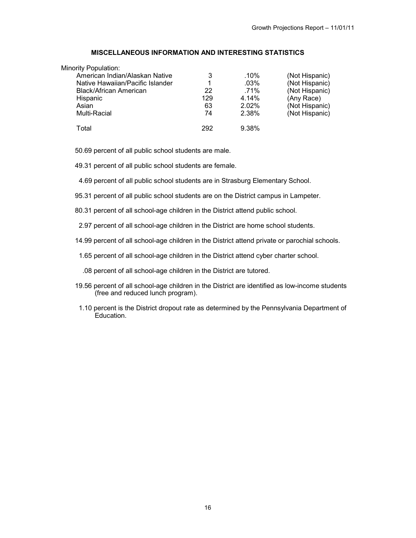### **MISCELLANEOUS INFORMATION AND INTERESTING STATISTICS**

| Minority Population:             |     |         |                |
|----------------------------------|-----|---------|----------------|
| American Indian/Alaskan Native   |     | $.10\%$ | (Not Hispanic) |
| Native Hawaiian/Pacific Islander |     | $.03\%$ | (Not Hispanic) |
| Black/African American           | 22  | .71%    | (Not Hispanic) |
| Hispanic                         | 129 | 4.14%   | (Any Race)     |
| Asian                            | 63  | 2.02%   | (Not Hispanic) |
| Multi-Racial                     | 74  | 2.38%   | (Not Hispanic) |
| Total                            | 292 | 9.38%   |                |

50.69 percent of all public school students are male.

49.31 percent of all public school students are female.

4.69 percent of all public school students are in Strasburg Elementary School.

95.31 percent of all public school students are on the District campus in Lampeter.

80.31 percent of all school-age children in the District attend public school.

2.97 percent of all school-age children in the District are home school students.

14.99 percent of all school-age children in the District attend private or parochial schools.

1.65 percent of all school-age children in the District attend cyber charter school.

.08 percent of all school-age children in the District are tutored.

- 19.56 percent of all school-age children in the District are identified as low-income students (free and reduced lunch program).
- 1.10 percent is the District dropout rate as determined by the Pennsylvania Department of Education.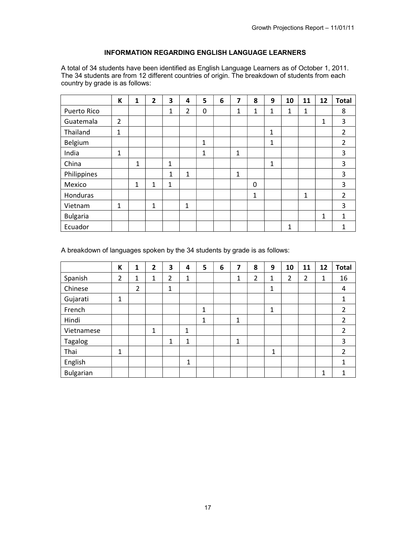# **INFORMATION REGARDING ENGLISH LANGUAGE LEARNERS**

A total of 34 students have been identified as English Language Learners as of October 1, 2011. The 34 students are from 12 different countries of origin. The breakdown of students from each country by grade is as follows:

|                 | К              | $\mathbf{1}$ | 2 | 3            | 4            | 5            | 6 | 7 | 8 | 9 | 10 | 11 | 12 | <b>Total</b>   |
|-----------------|----------------|--------------|---|--------------|--------------|--------------|---|---|---|---|----|----|----|----------------|
| Puerto Rico     |                |              |   | 1            | 2            | 0            |   | 1 | 1 | 1 | 1  | 1  |    | 8              |
| Guatemala       | $\overline{2}$ |              |   |              |              |              |   |   |   |   |    |    | 1  | 3              |
| Thailand        | 1              |              |   |              |              |              |   |   |   | 1 |    |    |    | $\overline{2}$ |
| Belgium         |                |              |   |              |              | $\mathbf{1}$ |   |   |   | 1 |    |    |    | 2              |
| India           | 1              |              |   |              |              | 1            |   | 1 |   |   |    |    |    | 3              |
| China           |                | 1            |   | $\mathbf{1}$ |              |              |   |   |   | 1 |    |    |    | 3              |
| Philippines     |                |              |   | 1            | $\mathbf{1}$ |              |   | 1 |   |   |    |    |    | 3              |
| Mexico          |                | 1            | 1 | $\mathbf{1}$ |              |              |   |   | 0 |   |    |    |    | 3              |
| Honduras        |                |              |   |              |              |              |   |   | 1 |   |    | 1  |    | $\overline{2}$ |
| Vietnam         | 1              |              | 1 |              | 1            |              |   |   |   |   |    |    |    | 3              |
| <b>Bulgaria</b> |                |              |   |              |              |              |   |   |   |   |    |    | 1  | 1              |
| Ecuador         |                |              |   |              |              |              |   |   |   |   | 1  |    |    | 1              |

A breakdown of languages spoken by the 34 students by grade is as follows:

|                  | K | 1 | 2 | 3 | 4            | 5 | 6 | 7 | 8 | 9            | 10 | 11 | 12 | <b>Total</b>   |
|------------------|---|---|---|---|--------------|---|---|---|---|--------------|----|----|----|----------------|
| Spanish          | 2 | 1 | 1 | 2 | $\mathbf{1}$ |   |   | 1 | 2 | 1            | 2  | 2  | 1  | 16             |
| Chinese          |   | 2 |   | 1 |              |   |   |   |   | 1            |    |    |    | 4              |
| Gujarati         | 1 |   |   |   |              |   |   |   |   |              |    |    |    |                |
| French           |   |   |   |   |              | 1 |   |   |   | 1            |    |    |    | 2              |
| Hindi            |   |   |   |   |              | 1 |   | 1 |   |              |    |    |    | 2              |
| Vietnamese       |   |   | 1 |   | 1<br>┸       |   |   |   |   |              |    |    |    | 2              |
| <b>Tagalog</b>   |   |   |   | 1 | 1            |   |   | 1 |   |              |    |    |    | 3              |
| Thai             | 1 |   |   |   |              |   |   |   |   | $\mathbf{1}$ |    |    |    | $\overline{2}$ |
| English          |   |   |   |   | 1            |   |   |   |   |              |    |    |    |                |
| <b>Bulgarian</b> |   |   |   |   |              |   |   |   |   |              |    |    | 1  |                |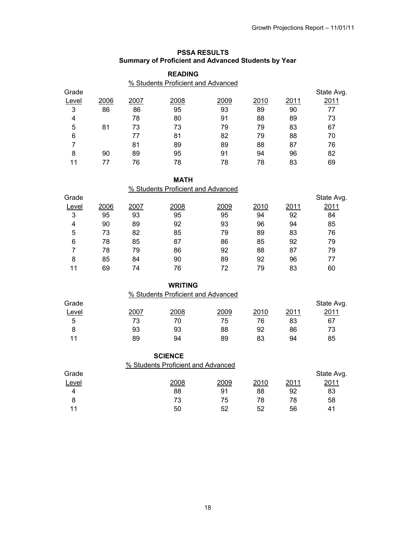# **PSSA RESULTS Summary of Proficient and Advanced Students by Year**

|                |      |      | <b>READING</b><br>% Students Proficient and Advanced |      |      |      |            |
|----------------|------|------|------------------------------------------------------|------|------|------|------------|
| Grade          |      |      |                                                      |      |      |      | State Avg. |
| Level          | 2006 | 2007 | 2008                                                 | 2009 | 2010 | 2011 | 2011       |
| 3              | 86   | 86   | 95                                                   | 93   | 89   | 90   | 77         |
| 4              |      | 78   | 80                                                   | 91   | 88   | 89   | 73         |
| 5              | 81   | 73   | 73                                                   | 79   | 79   | 83   | 67         |
| 6              |      | 77   | 81                                                   | 82   | 79   | 88   | 70         |
| $\overline{7}$ |      | 81   | 89                                                   | 89   | 88   | 87   | 76         |
| 8              | 90   | 89   | 95                                                   | 91   | 94   | 96   | 82         |
| 11             | 77   | 76   | 78                                                   | 78   | 78   | 83   | 69         |
|                |      |      |                                                      |      |      |      |            |
|                |      |      | <b>MATH</b>                                          |      |      |      |            |
|                |      |      | % Students Proficient and Advanced                   |      |      |      |            |
| Grade          |      |      |                                                      |      |      |      | State Avg. |
| Level          | 2006 | 2007 | 2008                                                 | 2009 | 2010 | 2011 | 2011       |
| 3              | 95   | 93   | 95                                                   | 95   | 94   | 92   | 84         |
| $\overline{4}$ | 90   | 89   | 92                                                   | 93   | 96   | 94   | 85         |
| 5              | 73   | 82   | 85                                                   | 79   | 89   | 83   | 76         |
| 6              | 78   | 85   | 87                                                   | 86   | 85   | 92   | 79         |
| $\overline{7}$ | 78   | 79   | 86                                                   | 92   | 88   | 87   | 79         |
| 8              | 85   | 84   | 90                                                   | 89   | 92   | 96   | 77         |
| 11             | 69   | 74   | 76                                                   | 72   | 79   | 83   | 60         |
|                |      |      | <b>WRITING</b>                                       |      |      |      |            |
|                |      |      | % Students Proficient and Advanced                   |      |      |      |            |
| Grade          |      |      |                                                      |      |      |      | State Avg. |
| Level          |      | 2007 | 2008                                                 | 2009 | 2010 | 2011 | 2011       |
| 5              |      | 73   | 70                                                   | 75   | 76   | 83   | 67         |
| 8              |      | 93   | 93                                                   | 88   | 92   | 86   | 73         |
| 11             |      | 89   | 94                                                   | 89   | 83   | 94   | 85         |
|                |      |      | <b>SCIENCE</b>                                       |      |      |      |            |
|                |      |      | % Students Proficient and Advanced                   |      |      |      |            |
| Grade          |      |      |                                                      |      |      |      | State Avg. |
| Level          |      |      | 2008                                                 | 2009 | 2010 | 2011 | 2011       |
| $\overline{4}$ |      |      | 88                                                   | 91   | 88   | 92   | 83         |

8 73 75 78 78 58 11 50 52 52 56 41